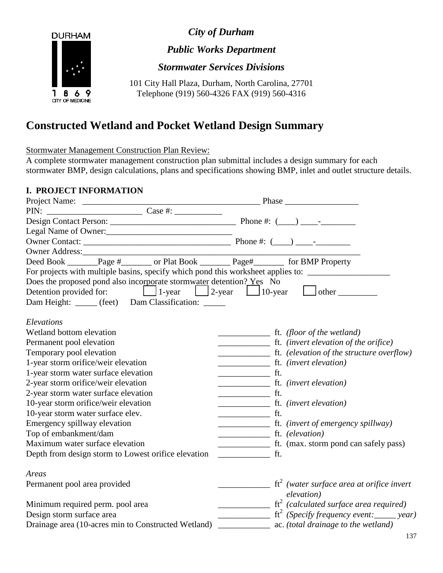*City of Durham*



*Public Works Department*

*Stormwater Services Divisions*

101 City Hall Plaza, Durham, North Carolina, 27701 Telephone (919) 560-4326 FAX (919) 560-4316

# **Constructed Wetland and Pocket Wetland Design Summary**

Stormwater Management Construction Plan Review:

A complete stormwater management construction plan submittal includes a design summary for each stormwater BMP, design calculations, plans and specifications showing BMP, inlet and outlet structure details.

## **I. PROJECT INFORMATION**

| Owner Address:                                                       |                                                                                                                                                                                                                                                                                                                                                                                                                                                                                   |
|----------------------------------------------------------------------|-----------------------------------------------------------------------------------------------------------------------------------------------------------------------------------------------------------------------------------------------------------------------------------------------------------------------------------------------------------------------------------------------------------------------------------------------------------------------------------|
|                                                                      | Deed Book _______Page #_______ or Plat Book ________Page#_________ for BMP Property                                                                                                                                                                                                                                                                                                                                                                                               |
|                                                                      | For projects with multiple basins, specify which pond this worksheet applies to: ___________________                                                                                                                                                                                                                                                                                                                                                                              |
| Does the proposed pond also incorporate stormwater detention? Yes No |                                                                                                                                                                                                                                                                                                                                                                                                                                                                                   |
|                                                                      |                                                                                                                                                                                                                                                                                                                                                                                                                                                                                   |
| Dam Height: _____ (feet) Dam Classification: _____                   |                                                                                                                                                                                                                                                                                                                                                                                                                                                                                   |
| Elevations                                                           |                                                                                                                                                                                                                                                                                                                                                                                                                                                                                   |
| Wetland bottom elevation                                             |                                                                                                                                                                                                                                                                                                                                                                                                                                                                                   |
| Permanent pool elevation                                             |                                                                                                                                                                                                                                                                                                                                                                                                                                                                                   |
| Temporary pool elevation                                             |                                                                                                                                                                                                                                                                                                                                                                                                                                                                                   |
| 1-year storm orifice/weir elevation                                  |                                                                                                                                                                                                                                                                                                                                                                                                                                                                                   |
| 1-year storm water surface elevation                                 | $\frac{1}{\sqrt{1-\frac{1}{2}}}\int_{-\frac{1}{2}}^{\frac{1}{2}}\frac{dx}{x^2}$                                                                                                                                                                                                                                                                                                                                                                                                   |
| 2-year storm orifice/weir elevation                                  |                                                                                                                                                                                                                                                                                                                                                                                                                                                                                   |
| 2-year storm water surface elevation                                 | $\overline{\phantom{a}}$ ft.                                                                                                                                                                                                                                                                                                                                                                                                                                                      |
| 10-year storm orifice/weir elevation                                 |                                                                                                                                                                                                                                                                                                                                                                                                                                                                                   |
| 10-year storm water surface elev.                                    | f.t.                                                                                                                                                                                                                                                                                                                                                                                                                                                                              |
| Emergency spillway elevation                                         |                                                                                                                                                                                                                                                                                                                                                                                                                                                                                   |
| Top of embankment/dam                                                | ft. (elevation)                                                                                                                                                                                                                                                                                                                                                                                                                                                                   |
| Maximum water surface elevation                                      | ft. (max. storm pond can safely pass)                                                                                                                                                                                                                                                                                                                                                                                                                                             |
| Depth from design storm to Lowest orifice elevation                  | ft.<br>$\frac{1}{2} \left( \frac{1}{2} \right) \left( \frac{1}{2} \right) \left( \frac{1}{2} \right) \left( \frac{1}{2} \right) \left( \frac{1}{2} \right) \left( \frac{1}{2} \right) \left( \frac{1}{2} \right) \left( \frac{1}{2} \right) \left( \frac{1}{2} \right) \left( \frac{1}{2} \right) \left( \frac{1}{2} \right) \left( \frac{1}{2} \right) \left( \frac{1}{2} \right) \left( \frac{1}{2} \right) \left( \frac{1}{2} \right) \left( \frac{1}{2} \right) \left( \frac$ |
| Areas                                                                |                                                                                                                                                                                                                                                                                                                                                                                                                                                                                   |
| Permanent pool area provided                                         | $\frac{1}{\sqrt{1-x^2}}$ ft <sup>2</sup> (water surface area at orifice invert                                                                                                                                                                                                                                                                                                                                                                                                    |
|                                                                      | elevation)                                                                                                                                                                                                                                                                                                                                                                                                                                                                        |
| Minimum required perm. pool area                                     | $\frac{1}{\sqrt{1-x^2}}$ (calculated surface area required)                                                                                                                                                                                                                                                                                                                                                                                                                       |
| Design storm surface area                                            |                                                                                                                                                                                                                                                                                                                                                                                                                                                                                   |
| Drainage area (10-acres min to Constructed Wetland)                  | ac. (total drainage to the wetland)                                                                                                                                                                                                                                                                                                                                                                                                                                               |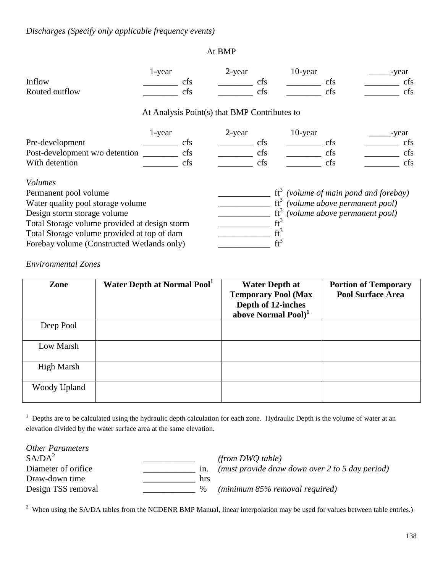### At BMP

|                                               | 1-year |     | 2-year                                       |        | 10-year |                               | -year                             |
|-----------------------------------------------|--------|-----|----------------------------------------------|--------|---------|-------------------------------|-----------------------------------|
| Inflow                                        |        | cfs |                                              | cfs    |         | cfs                           | cfs                               |
| Routed outflow                                |        | cfs |                                              | cfs    |         | cfs                           | cfs                               |
|                                               |        |     | At Analysis Point(s) that BMP Contributes to |        |         |                               |                                   |
|                                               | 1-year |     | 2-year                                       |        | 10-year |                               | -year                             |
| Pre-development                               |        | cfs |                                              | cfs    |         | cfs                           | cfs                               |
| Post-development w/o detention                |        | cfs |                                              | cfs    |         | cfs                           | cfs                               |
| With detention                                |        | cfs |                                              | cfs    |         | cfs                           | cfs                               |
| <i>Volumes</i>                                |        |     |                                              |        |         |                               |                                   |
| Permanent pool volume                         |        |     |                                              | $ft^3$ |         |                               | (volume of main pond and forebay) |
| Water quality pool storage volume             |        |     |                                              | $ft^3$ |         | (volume above permanent pool) |                                   |
| Design storm storage volume                   |        |     |                                              | $ft^3$ |         | (volume above permanent pool) |                                   |
| Total Storage volume provided at design storm |        |     |                                              | $ft^3$ |         |                               |                                   |
| Total Storage volume provided at top of dam   |        |     |                                              | $ft^3$ |         |                               |                                   |
| Forebay volume (Constructed Wetlands only)    |        |     |                                              | $ft^3$ |         |                               |                                   |

*Environmental Zones*

| Zone         | Water Depth at Normal Pool <sup>1</sup> | <b>Water Depth at</b><br><b>Temporary Pool (Max</b><br>Depth of 12-inches<br>above Normal Pool) <sup>1</sup> | <b>Portion of Temporary</b><br><b>Pool Surface Area</b> |
|--------------|-----------------------------------------|--------------------------------------------------------------------------------------------------------------|---------------------------------------------------------|
| Deep Pool    |                                         |                                                                                                              |                                                         |
| Low Marsh    |                                         |                                                                                                              |                                                         |
| High Marsh   |                                         |                                                                                                              |                                                         |
| Woody Upland |                                         |                                                                                                              |                                                         |

<sup>1</sup> Depths are to be calculated using the hydraulic depth calculation for each zone. Hydraulic Depth is the volume of water at an elevation divided by the water surface area at the same elevation.

| <b>Other Parameters</b><br>S A / D A <sup>2</sup> |      | (from DWO table)                                |
|---------------------------------------------------|------|-------------------------------------------------|
| Diameter of orifice.                              | 1n.  | (must provide draw down over 2 to 5 day period) |
| Draw-down time                                    | hrs  |                                                 |
| Design TSS removal                                | $\%$ | $(minimum 85\%$ removal required)               |

 $2$  When using the SA/DA tables from the NCDENR BMP Manual, linear interpolation may be used for values between table entries.)